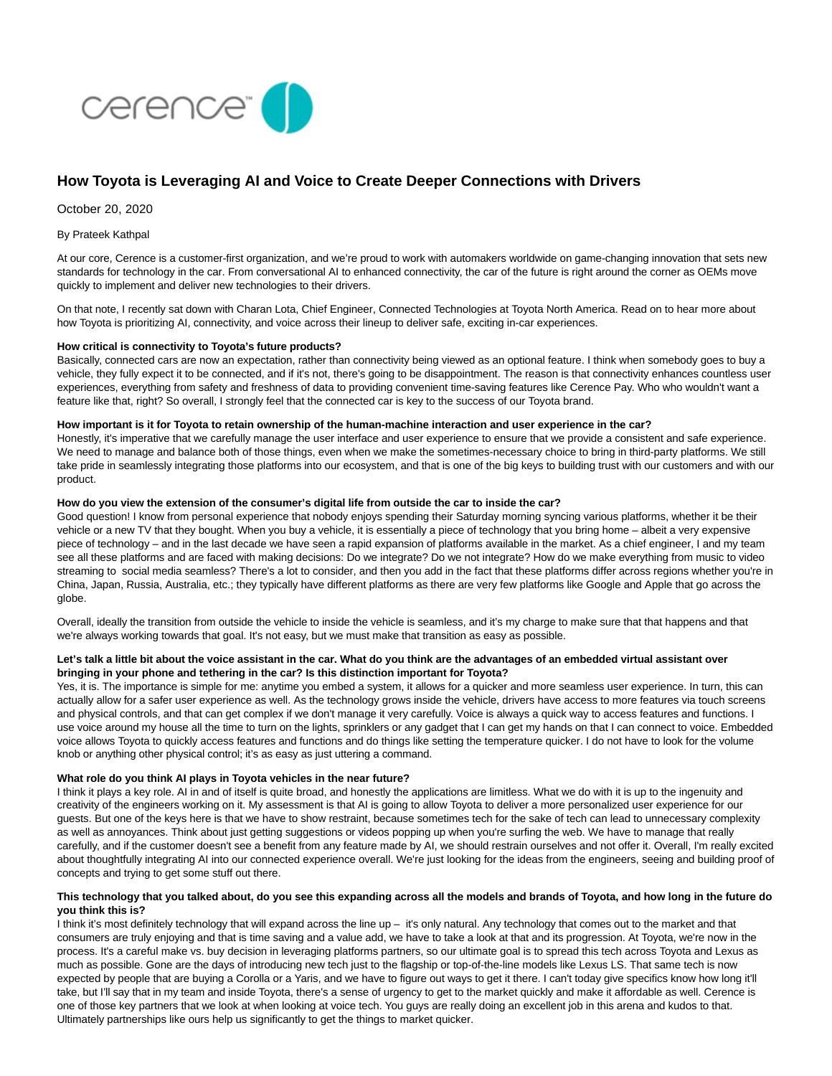

# **How Toyota is Leveraging AI and Voice to Create Deeper Connections with Drivers**

October 20, 2020

#### By Prateek Kathpal

At our core, Cerence is a customer-first organization, and we're proud to work with automakers worldwide on game-changing innovation that sets new standards for technology in the car. From conversational AI to enhanced connectivity, the car of the future is right around the corner as OEMs move quickly to implement and deliver new technologies to their drivers.

On that note, I recently sat down with Charan Lota, Chief Engineer, Connected Technologies at Toyota North America. Read on to hear more about how Toyota is prioritizing AI, connectivity, and voice across their lineup to deliver safe, exciting in-car experiences.

# **How critical is connectivity to Toyota's future products?**

Basically, connected cars are now an expectation, rather than connectivity being viewed as an optional feature. I think when somebody goes to buy a vehicle, they fully expect it to be connected, and if it's not, there's going to be disappointment. The reason is that connectivity enhances countless user experiences, everything from safety and freshness of data to providing convenient time-saving features like Cerence Pay. Who who wouldn't want a feature like that, right? So overall, I strongly feel that the connected car is key to the success of our Toyota brand.

#### **How important is it for Toyota to retain ownership of the human-machine interaction and user experience in the car?**

Honestly, it's imperative that we carefully manage the user interface and user experience to ensure that we provide a consistent and safe experience. We need to manage and balance both of those things, even when we make the sometimes-necessary choice to bring in third-party platforms. We still take pride in seamlessly integrating those platforms into our ecosystem, and that is one of the big keys to building trust with our customers and with our product.

# **How do you view the extension of the consumer's digital life from outside the car to inside the car?**

Good question! I know from personal experience that nobody enjoys spending their Saturday morning syncing various platforms, whether it be their vehicle or a new TV that they bought. When you buy a vehicle, it is essentially a piece of technology that you bring home – albeit a very expensive piece of technology – and in the last decade we have seen a rapid expansion of platforms available in the market. As a chief engineer, I and my team see all these platforms and are faced with making decisions: Do we integrate? Do we not integrate? How do we make everything from music to video streaming to social media seamless? There's a lot to consider, and then you add in the fact that these platforms differ across regions whether you're in China, Japan, Russia, Australia, etc.; they typically have different platforms as there are very few platforms like Google and Apple that go across the globe.

Overall, ideally the transition from outside the vehicle to inside the vehicle is seamless, and it's my charge to make sure that that happens and that we're always working towards that goal. It's not easy, but we must make that transition as easy as possible.

# **Let's talk a little bit about the voice assistant in the car. What do you think are the advantages of an embedded virtual assistant over bringing in your phone and tethering in the car? Is this distinction important for Toyota?**

Yes, it is. The importance is simple for me: anytime you embed a system, it allows for a quicker and more seamless user experience. In turn, this can actually allow for a safer user experience as well. As the technology grows inside the vehicle, drivers have access to more features via touch screens and physical controls, and that can get complex if we don't manage it very carefully. Voice is always a quick way to access features and functions. I use voice around my house all the time to turn on the lights, sprinklers or any gadget that I can get my hands on that I can connect to voice. Embedded voice allows Toyota to quickly access features and functions and do things like setting the temperature quicker. I do not have to look for the volume knob or anything other physical control; it's as easy as just uttering a command.

#### **What role do you think AI plays in Toyota vehicles in the near future?**

I think it plays a key role. AI in and of itself is quite broad, and honestly the applications are limitless. What we do with it is up to the ingenuity and creativity of the engineers working on it. My assessment is that AI is going to allow Toyota to deliver a more personalized user experience for our guests. But one of the keys here is that we have to show restraint, because sometimes tech for the sake of tech can lead to unnecessary complexity as well as annovances. Think about just getting suggestions or videos popping up when you're surfing the web. We have to manage that really carefully, and if the customer doesn't see a benefit from any feature made by AI, we should restrain ourselves and not offer it. Overall, I'm really excited about thoughtfully integrating AI into our connected experience overall. We're just looking for the ideas from the engineers, seeing and building proof of concepts and trying to get some stuff out there.

# **This technology that you talked about, do you see this expanding across all the models and brands of Toyota, and how long in the future do you think this is?**

I think it's most definitely technology that will expand across the line up – it's only natural. Any technology that comes out to the market and that consumers are truly enjoying and that is time saving and a value add, we have to take a look at that and its progression. At Toyota, we're now in the process. It's a careful make vs. buy decision in leveraging platforms partners, so our ultimate goal is to spread this tech across Toyota and Lexus as much as possible. Gone are the days of introducing new tech just to the flagship or top-of-the-line models like Lexus LS. That same tech is now expected by people that are buying a Corolla or a Yaris, and we have to figure out ways to get it there. I can't today give specifics know how long it'll take, but I'll say that in my team and inside Toyota, there's a sense of urgency to get to the market quickly and make it affordable as well. Cerence is one of those key partners that we look at when looking at voice tech. You guys are really doing an excellent job in this arena and kudos to that. Ultimately partnerships like ours help us significantly to get the things to market quicker.